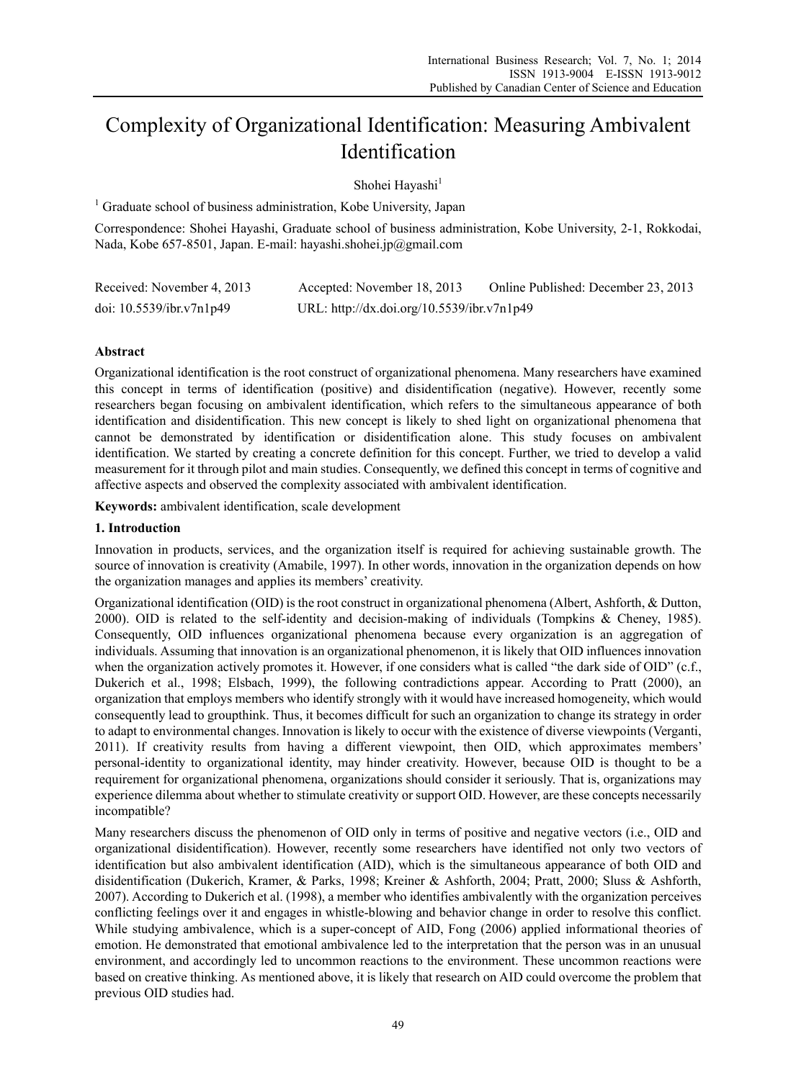# Complexity of Organizational Identification: Measuring Ambivalent Identification

Shohei Hayashi<sup>1</sup>

<sup>1</sup> Graduate school of business administration, Kobe University, Japan

Correspondence: Shohei Hayashi, Graduate school of business administration, Kobe University, 2-1, Rokkodai, Nada, Kobe 657-8501, Japan. E-mail: hayashi.shohei.jp@gmail.com

| Received: November 4, 2013  | Accepted: November 18, 2013                | Online Published: December 23, 2013 |
|-----------------------------|--------------------------------------------|-------------------------------------|
| doi: $10.5539$ /ibr.v7n1p49 | URL: http://dx.doi.org/10.5539/ibr.v7n1p49 |                                     |

# **Abstract**

Organizational identification is the root construct of organizational phenomena. Many researchers have examined this concept in terms of identification (positive) and disidentification (negative). However, recently some researchers began focusing on ambivalent identification, which refers to the simultaneous appearance of both identification and disidentification. This new concept is likely to shed light on organizational phenomena that cannot be demonstrated by identification or disidentification alone. This study focuses on ambivalent identification. We started by creating a concrete definition for this concept. Further, we tried to develop a valid measurement for it through pilot and main studies. Consequently, we defined this concept in terms of cognitive and affective aspects and observed the complexity associated with ambivalent identification.

**Keywords:** ambivalent identification, scale development

#### **1. Introduction**

Innovation in products, services, and the organization itself is required for achieving sustainable growth. The source of innovation is creativity (Amabile, 1997). In other words, innovation in the organization depends on how the organization manages and applies its members' creativity.

Organizational identification (OID) is the root construct in organizational phenomena (Albert, Ashforth, & Dutton, 2000). OID is related to the self-identity and decision-making of individuals (Tompkins & Cheney, 1985). Consequently, OID influences organizational phenomena because every organization is an aggregation of individuals. Assuming that innovation is an organizational phenomenon, it is likely that OID influences innovation when the organization actively promotes it. However, if one considers what is called "the dark side of OID" (c.f., Dukerich et al., 1998; Elsbach, 1999), the following contradictions appear. According to Pratt (2000), an organization that employs members who identify strongly with it would have increased homogeneity, which would consequently lead to groupthink. Thus, it becomes difficult for such an organization to change its strategy in order to adapt to environmental changes. Innovation is likely to occur with the existence of diverse viewpoints (Verganti, 2011). If creativity results from having a different viewpoint, then OID, which approximates members' personal-identity to organizational identity, may hinder creativity. However, because OID is thought to be a requirement for organizational phenomena, organizations should consider it seriously. That is, organizations may experience dilemma about whether to stimulate creativity or support OID. However, are these concepts necessarily incompatible?

Many researchers discuss the phenomenon of OID only in terms of positive and negative vectors (i.e., OID and organizational disidentification). However, recently some researchers have identified not only two vectors of identification but also ambivalent identification (AID), which is the simultaneous appearance of both OID and disidentification (Dukerich, Kramer, & Parks, 1998; Kreiner & Ashforth, 2004; Pratt, 2000; Sluss & Ashforth, 2007). According to Dukerich et al. (1998), a member who identifies ambivalently with the organization perceives conflicting feelings over it and engages in whistle-blowing and behavior change in order to resolve this conflict. While studying ambivalence, which is a super-concept of AID, Fong (2006) applied informational theories of emotion. He demonstrated that emotional ambivalence led to the interpretation that the person was in an unusual environment, and accordingly led to uncommon reactions to the environment. These uncommon reactions were based on creative thinking. As mentioned above, it is likely that research on AID could overcome the problem that previous OID studies had.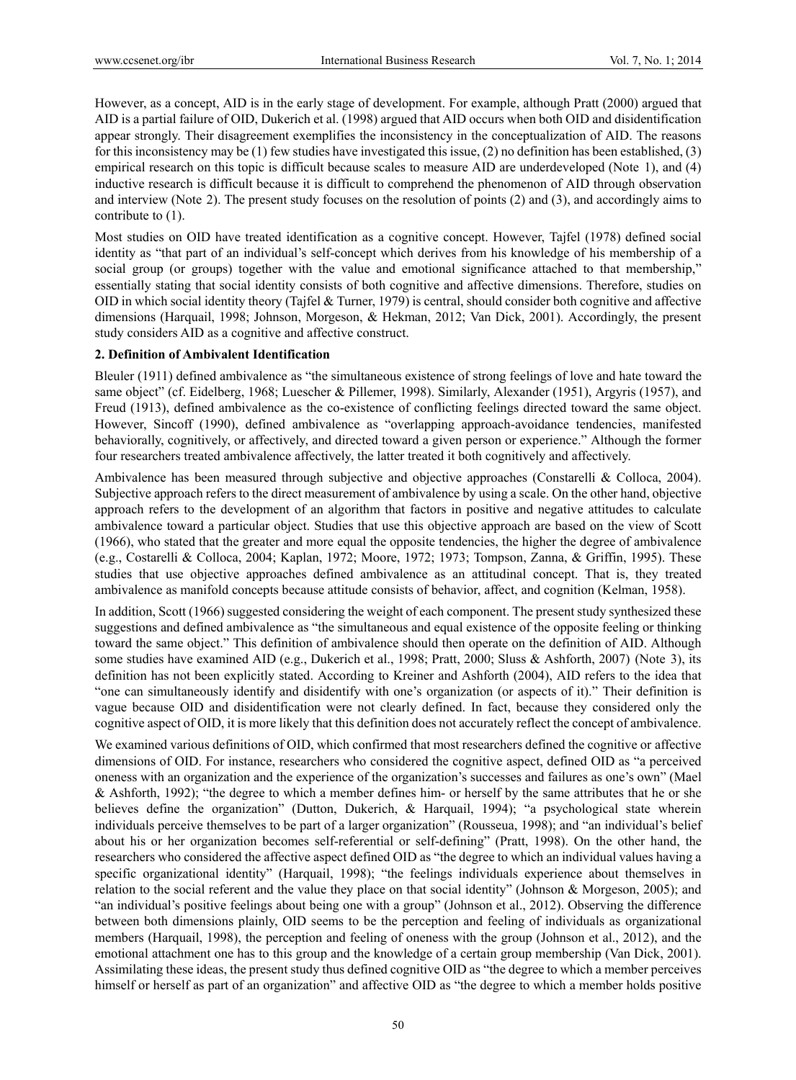However, as a concept, AID is in the early stage of development. For example, although Pratt (2000) argued that AID is a partial failure of OID, Dukerich et al. (1998) argued that AID occurs when both OID and disidentification appear strongly. Their disagreement exemplifies the inconsistency in the conceptualization of AID. The reasons for this inconsistency may be (1) few studies have investigated this issue, (2) no definition has been established, (3) empirical research on this topic is difficult because scales to measure AID are underdeveloped (Note 1), and (4) inductive research is difficult because it is difficult to comprehend the phenomenon of AID through observation and interview (Note 2). The present study focuses on the resolution of points (2) and (3), and accordingly aims to contribute to (1).

Most studies on OID have treated identification as a cognitive concept. However, Tajfel (1978) defined social identity as "that part of an individual's self-concept which derives from his knowledge of his membership of a social group (or groups) together with the value and emotional significance attached to that membership," essentially stating that social identity consists of both cognitive and affective dimensions. Therefore, studies on OID in which social identity theory (Tajfel & Turner, 1979) is central, should consider both cognitive and affective dimensions (Harquail, 1998; Johnson, Morgeson, & Hekman, 2012; Van Dick, 2001). Accordingly, the present study considers AID as a cognitive and affective construct.

# **2. Definition of Ambivalent Identification**

Bleuler (1911) defined ambivalence as "the simultaneous existence of strong feelings of love and hate toward the same object" (cf. Eidelberg, 1968; Luescher & Pillemer, 1998). Similarly, Alexander (1951), Argyris (1957), and Freud (1913), defined ambivalence as the co-existence of conflicting feelings directed toward the same object. However, Sincoff (1990), defined ambivalence as "overlapping approach-avoidance tendencies, manifested behaviorally, cognitively, or affectively, and directed toward a given person or experience." Although the former four researchers treated ambivalence affectively, the latter treated it both cognitively and affectively.

Ambivalence has been measured through subjective and objective approaches (Constarelli & Colloca, 2004). Subjective approach refers to the direct measurement of ambivalence by using a scale. On the other hand, objective approach refers to the development of an algorithm that factors in positive and negative attitudes to calculate ambivalence toward a particular object. Studies that use this objective approach are based on the view of Scott (1966), who stated that the greater and more equal the opposite tendencies, the higher the degree of ambivalence (e.g., Costarelli & Colloca, 2004; Kaplan, 1972; Moore, 1972; 1973; Tompson, Zanna, & Griffin, 1995). These studies that use objective approaches defined ambivalence as an attitudinal concept. That is, they treated ambivalence as manifold concepts because attitude consists of behavior, affect, and cognition (Kelman, 1958).

In addition, Scott (1966) suggested considering the weight of each component. The present study synthesized these suggestions and defined ambivalence as "the simultaneous and equal existence of the opposite feeling or thinking toward the same object." This definition of ambivalence should then operate on the definition of AID. Although some studies have examined AID (e.g., Dukerich et al., 1998; Pratt, 2000; Sluss & Ashforth, 2007) (Note 3), its definition has not been explicitly stated. According to Kreiner and Ashforth (2004), AID refers to the idea that "one can simultaneously identify and disidentify with one's organization (or aspects of it)." Their definition is vague because OID and disidentification were not clearly defined. In fact, because they considered only the cognitive aspect of OID, it is more likely that this definition does not accurately reflect the concept of ambivalence.

We examined various definitions of OID, which confirmed that most researchers defined the cognitive or affective dimensions of OID. For instance, researchers who considered the cognitive aspect, defined OID as "a perceived oneness with an organization and the experience of the organization's successes and failures as one's own" (Mael & Ashforth, 1992); "the degree to which a member defines him- or herself by the same attributes that he or she believes define the organization" (Dutton, Dukerich, & Harquail, 1994); "a psychological state wherein individuals perceive themselves to be part of a larger organization" (Rousseua, 1998); and "an individual's belief about his or her organization becomes self-referential or self-defining" (Pratt, 1998). On the other hand, the researchers who considered the affective aspect defined OID as "the degree to which an individual values having a specific organizational identity" (Harquail, 1998); "the feelings individuals experience about themselves in relation to the social referent and the value they place on that social identity" (Johnson & Morgeson, 2005); and "an individual's positive feelings about being one with a group" (Johnson et al., 2012). Observing the difference between both dimensions plainly, OID seems to be the perception and feeling of individuals as organizational members (Harquail, 1998), the perception and feeling of oneness with the group (Johnson et al., 2012), and the emotional attachment one has to this group and the knowledge of a certain group membership (Van Dick, 2001). Assimilating these ideas, the present study thus defined cognitive OID as "the degree to which a member perceives himself or herself as part of an organization" and affective OID as "the degree to which a member holds positive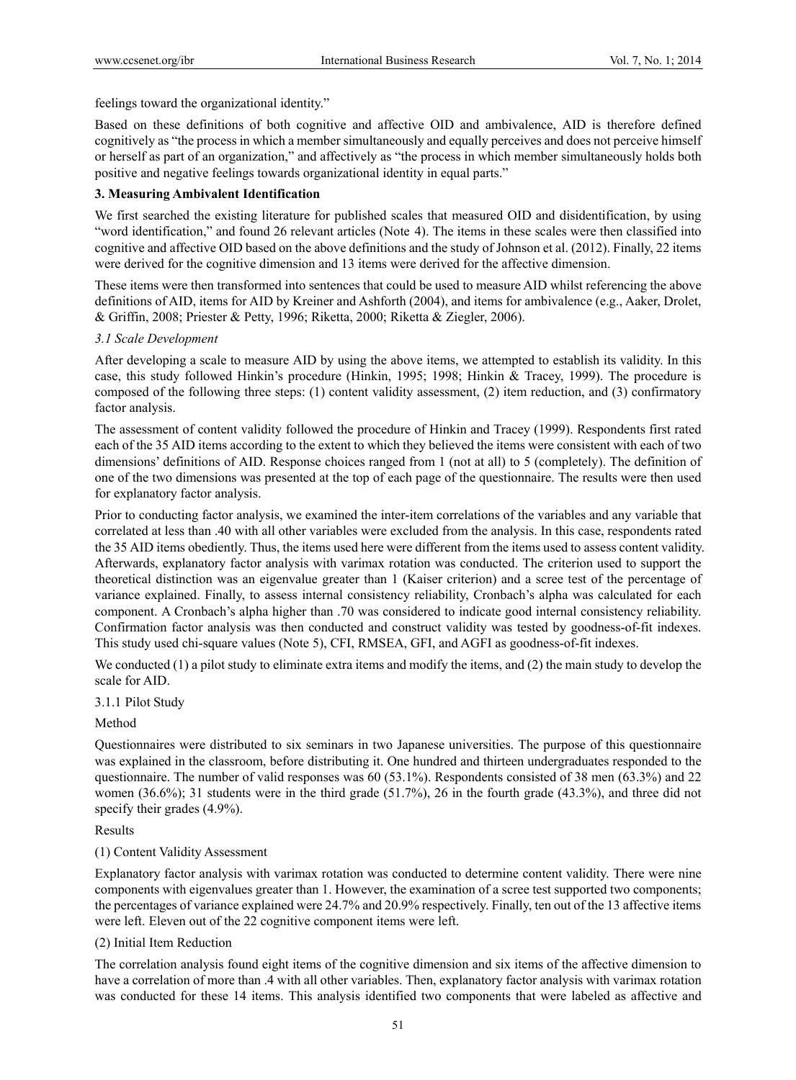feelings toward the organizational identity."

Based on these definitions of both cognitive and affective OID and ambivalence, AID is therefore defined cognitively as "the process in which a member simultaneously and equally perceives and does not perceive himself or herself as part of an organization," and affectively as "the process in which member simultaneously holds both positive and negative feelings towards organizational identity in equal parts."

# **3. Measuring Ambivalent Identification**

We first searched the existing literature for published scales that measured OID and disidentification, by using "word identification," and found 26 relevant articles (Note 4). The items in these scales were then classified into cognitive and affective OID based on the above definitions and the study of Johnson et al. (2012). Finally, 22 items were derived for the cognitive dimension and 13 items were derived for the affective dimension.

These items were then transformed into sentences that could be used to measure AID whilst referencing the above definitions of AID, items for AID by Kreiner and Ashforth (2004), and items for ambivalence (e.g., Aaker, Drolet, & Griffin, 2008; Priester & Petty, 1996; Riketta, 2000; Riketta & Ziegler, 2006).

# *3.1 Scale Development*

After developing a scale to measure AID by using the above items, we attempted to establish its validity. In this case, this study followed Hinkin's procedure (Hinkin, 1995; 1998; Hinkin & Tracey, 1999). The procedure is composed of the following three steps: (1) content validity assessment, (2) item reduction, and (3) confirmatory factor analysis.

The assessment of content validity followed the procedure of Hinkin and Tracey (1999). Respondents first rated each of the 35 AID items according to the extent to which they believed the items were consistent with each of two dimensions' definitions of AID. Response choices ranged from 1 (not at all) to 5 (completely). The definition of one of the two dimensions was presented at the top of each page of the questionnaire. The results were then used for explanatory factor analysis.

Prior to conducting factor analysis, we examined the inter-item correlations of the variables and any variable that correlated at less than .40 with all other variables were excluded from the analysis. In this case, respondents rated the 35 AID items obediently. Thus, the items used here were different from the items used to assess content validity. Afterwards, explanatory factor analysis with varimax rotation was conducted. The criterion used to support the theoretical distinction was an eigenvalue greater than 1 (Kaiser criterion) and a scree test of the percentage of variance explained. Finally, to assess internal consistency reliability, Cronbach's alpha was calculated for each component. A Cronbach's alpha higher than .70 was considered to indicate good internal consistency reliability. Confirmation factor analysis was then conducted and construct validity was tested by goodness-of-fit indexes. This study used chi-square values (Note 5), CFI, RMSEA, GFI, and AGFI as goodness-of-fit indexes.

We conducted (1) a pilot study to eliminate extra items and modify the items, and (2) the main study to develop the scale for AID.

#### 3.1.1 Pilot Study

# Method

Questionnaires were distributed to six seminars in two Japanese universities. The purpose of this questionnaire was explained in the classroom, before distributing it. One hundred and thirteen undergraduates responded to the questionnaire. The number of valid responses was 60 (53.1%). Respondents consisted of 38 men (63.3%) and 22 women (36.6%); 31 students were in the third grade (51.7%), 26 in the fourth grade (43.3%), and three did not specify their grades (4.9%).

#### Results

# (1) Content Validity Assessment

Explanatory factor analysis with varimax rotation was conducted to determine content validity. There were nine components with eigenvalues greater than 1. However, the examination of a scree test supported two components; the percentages of variance explained were 24.7% and 20.9% respectively. Finally, ten out of the 13 affective items were left. Eleven out of the 22 cognitive component items were left.

#### (2) Initial Item Reduction

The correlation analysis found eight items of the cognitive dimension and six items of the affective dimension to have a correlation of more than .4 with all other variables. Then, explanatory factor analysis with varimax rotation was conducted for these 14 items. This analysis identified two components that were labeled as affective and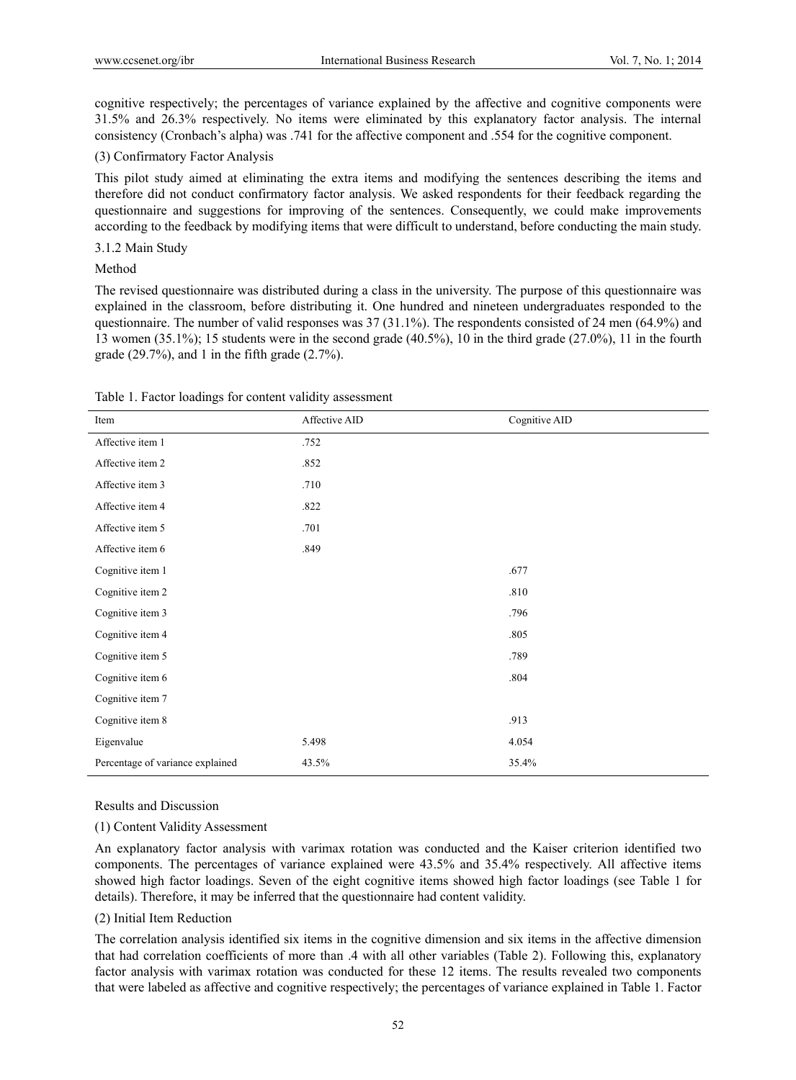cognitive respectively; the percentages of variance explained by the affective and cognitive components were 31.5% and 26.3% respectively. No items were eliminated by this explanatory factor analysis. The internal consistency (Cronbach's alpha) was .741 for the affective component and .554 for the cognitive component.

# (3) Confirmatory Factor Analysis

This pilot study aimed at eliminating the extra items and modifying the sentences describing the items and therefore did not conduct confirmatory factor analysis. We asked respondents for their feedback regarding the questionnaire and suggestions for improving of the sentences. Consequently, we could make improvements according to the feedback by modifying items that were difficult to understand, before conducting the main study.

# 3.1.2 Main Study

# Method

The revised questionnaire was distributed during a class in the university. The purpose of this questionnaire was explained in the classroom, before distributing it. One hundred and nineteen undergraduates responded to the questionnaire. The number of valid responses was 37 (31.1%). The respondents consisted of 24 men (64.9%) and 13 women (35.1%); 15 students were in the second grade (40.5%), 10 in the third grade (27.0%), 11 in the fourth grade  $(29.7\%)$ , and 1 in the fifth grade  $(2.7\%)$ .

| Item                             | Affective AID | Cognitive AID |
|----------------------------------|---------------|---------------|
| Affective item 1                 | .752          |               |
| Affective item 2                 | .852          |               |
| Affective item 3                 | .710          |               |
| Affective item 4                 | .822          |               |
| Affective item 5                 | .701          |               |
| Affective item 6                 | .849          |               |
| Cognitive item 1                 |               | .677          |
| Cognitive item 2                 |               | .810          |
| Cognitive item 3                 |               | .796          |
| Cognitive item 4                 |               | .805          |
| Cognitive item 5                 |               | .789          |
| Cognitive item 6                 |               | .804          |
| Cognitive item 7                 |               |               |
| Cognitive item 8                 |               | .913          |
| Eigenvalue                       | 5.498         | 4.054         |
| Percentage of variance explained | 43.5%         | 35.4%         |

| Table 1. Factor loadings for content validity assessment |  |  |  |  |  |  |  |
|----------------------------------------------------------|--|--|--|--|--|--|--|
|----------------------------------------------------------|--|--|--|--|--|--|--|

# Results and Discussion

#### (1) Content Validity Assessment

An explanatory factor analysis with varimax rotation was conducted and the Kaiser criterion identified two components. The percentages of variance explained were 43.5% and 35.4% respectively. All affective items showed high factor loadings. Seven of the eight cognitive items showed high factor loadings (see Table 1 for details). Therefore, it may be inferred that the questionnaire had content validity.

#### (2) Initial Item Reduction

The correlation analysis identified six items in the cognitive dimension and six items in the affective dimension that had correlation coefficients of more than .4 with all other variables (Table 2). Following this, explanatory factor analysis with varimax rotation was conducted for these 12 items. The results revealed two components that were labeled as affective and cognitive respectively; the percentages of variance explained in Table 1. Factor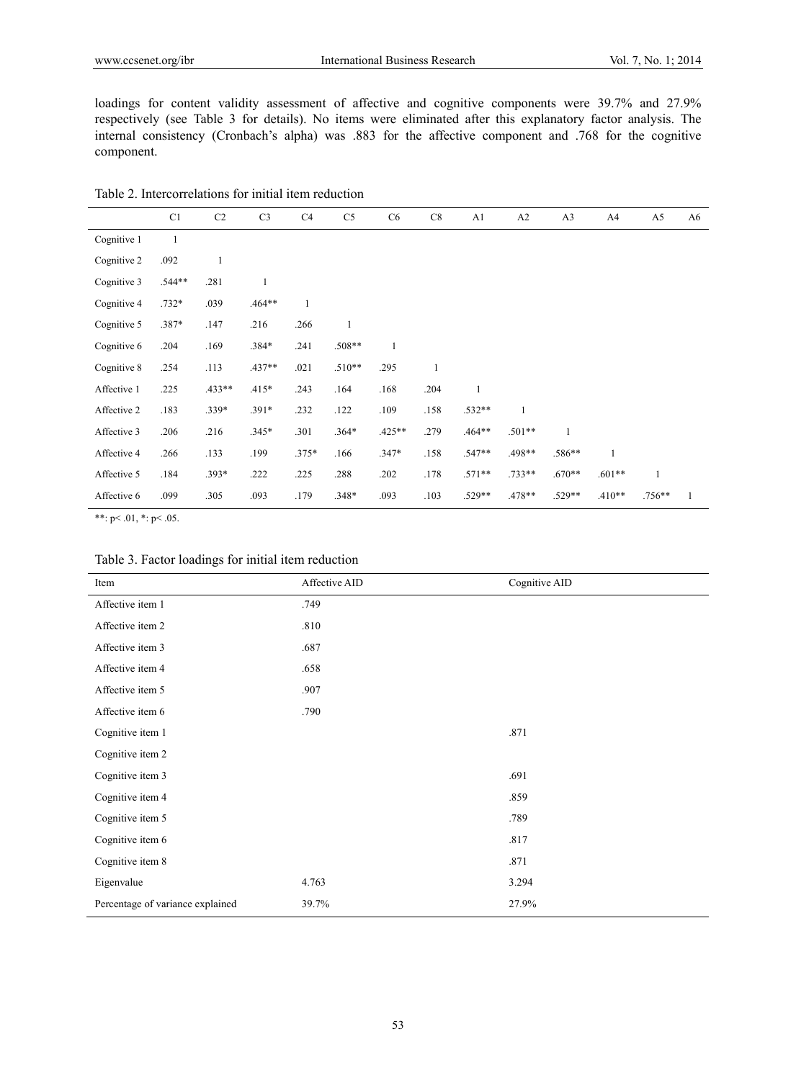loadings for content validity assessment of affective and cognitive components were 39.7% and 27.9% respectively (see Table 3 for details). No items were eliminated after this explanatory factor analysis. The internal consistency (Cronbach's alpha) was .883 for the affective component and .768 for the cognitive component.

|--|

|             | C1           | C <sub>2</sub> | C <sub>3</sub> | C4      | C <sub>5</sub> | C <sub>6</sub> | C8           | A1           | A2           | A <sub>3</sub> | A4           | A <sub>5</sub> | A6 |
|-------------|--------------|----------------|----------------|---------|----------------|----------------|--------------|--------------|--------------|----------------|--------------|----------------|----|
| Cognitive 1 | $\mathbf{1}$ |                |                |         |                |                |              |              |              |                |              |                |    |
| Cognitive 2 | .092         | $\mathbf{1}$   |                |         |                |                |              |              |              |                |              |                |    |
| Cognitive 3 | .544**       | .281           | $\mathbf{1}$   |         |                |                |              |              |              |                |              |                |    |
| Cognitive 4 | $.732*$      | .039           | .464**         | 1       |                |                |              |              |              |                |              |                |    |
| Cognitive 5 | .387*        | .147           | .216           | .266    | $\mathbf{1}$   |                |              |              |              |                |              |                |    |
| Cognitive 6 | .204         | .169           | .384*          | .241    | $.508**$       |                |              |              |              |                |              |                |    |
| Cognitive 8 | .254         | .113           | $.437**$       | .021    | $.510**$       | .295           | $\mathbf{1}$ |              |              |                |              |                |    |
| Affective 1 | .225         | $.433**$       | $.415*$        | .243    | .164           | .168           | .204         | $\mathbf{1}$ |              |                |              |                |    |
| Affective 2 | .183         | $.339*$        | $.391*$        | .232    | .122           | .109           | .158         | .532**       | $\mathbf{1}$ |                |              |                |    |
| Affective 3 | .206         | .216           | $.345*$        | .301    | $.364*$        | $.425**$       | .279         | .464**       | $.501**$     | $\mathbf{1}$   |              |                |    |
| Affective 4 | .266         | .133           | .199           | $.375*$ | .166           | $.347*$        | .158         | .547**       | .498**       | .586**         | $\mathbf{1}$ |                |    |
| Affective 5 | .184         | $.393*$        | .222           | .225    | .288           | .202           | .178         | $.571**$     | $.733**$     | $.670**$       | $.601**$     | $\mathbf{1}$   |    |
| Affective 6 | .099         | .305           | .093           | .179    | $.348*$        | .093           | .103         | .529**       | .478**       | .529**         | $.410**$     | .756**         | 1  |
|             |              |                |                |         |                |                |              |              |              |                |              |                |    |

\*\*:  $p < .01$ , \*:  $p < .05$ .

| Table 3. Factor loadings for initial item reduction |  |  |  |  |  |  |  |
|-----------------------------------------------------|--|--|--|--|--|--|--|
|-----------------------------------------------------|--|--|--|--|--|--|--|

| Item                             | Affective AID | Cognitive AID |
|----------------------------------|---------------|---------------|
| Affective item 1                 | .749          |               |
| Affective item 2                 | .810          |               |
| Affective item 3                 | .687          |               |
| Affective item 4                 | .658          |               |
| Affective item 5                 | .907          |               |
| Affective item 6                 | .790          |               |
| Cognitive item 1                 |               | .871          |
| Cognitive item 2                 |               |               |
| Cognitive item 3                 |               | .691          |
| Cognitive item 4                 |               | .859          |
| Cognitive item 5                 |               | .789          |
| Cognitive item 6                 |               | .817          |
| Cognitive item 8                 |               | .871          |
| Eigenvalue                       | 4.763         | 3.294         |
| Percentage of variance explained | 39.7%         | 27.9%         |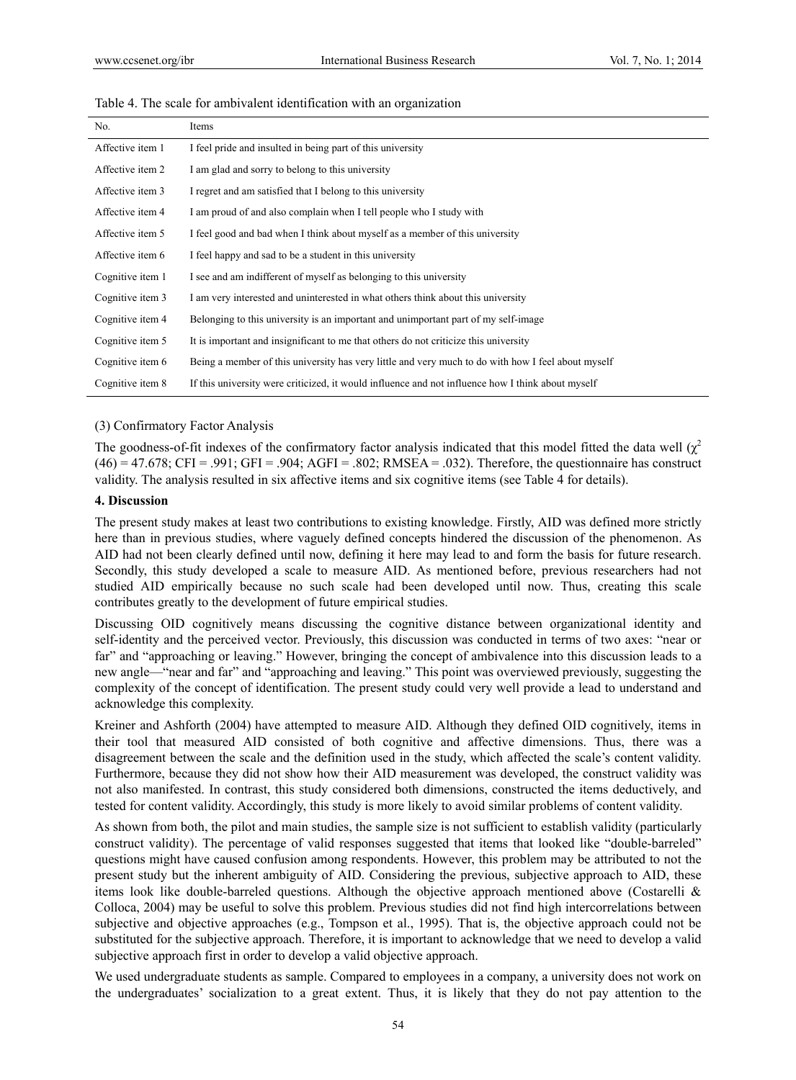| No.              | Items                                                                              |
|------------------|------------------------------------------------------------------------------------|
| Affective item 1 | I feel pride and insulted in being part of this university                         |
| Affective item 2 | I am glad and sorry to belong to this university                                   |
| Affective item 3 | I regret and am satisfied that I belong to this university                         |
| Affective item 4 | I am proud of and also complain when I tell people who I study with                |
| Affective item 5 | I feel good and bad when I think about myself as a member of this university       |
| Affective item 6 | I feel happy and sad to be a student in this university                            |
| Cognitive item 1 | I see and am indifferent of myself as belonging to this university                 |
| Cognitive item 3 | I am very interested and uninterested in what others think about this university   |
| Cognitive item 4 | Belonging to this university is an important and unimportant part of my self-image |

It is important and insignificant to me that others do not criticize this university

Table 4. The scale for ambivalent identification with an organization

#### (3) Confirmatory Factor Analysis

The goodness-of-fit indexes of the confirmatory factor analysis indicated that this model fitted the data well  $(\chi^2)$  $(46) = 47.678$ ; CFI = .991; GFI = .904; AGFI = .802; RMSEA = .032). Therefore, the questionnaire has construct validity. The analysis resulted in six affective items and six cognitive items (see Table 4 for details).

Being a member of this university has very little and very much to do with how I feel about myself If this university were criticized, it would influence and not influence how I think about myself

#### **4. Discussion**

Cognitive item 5 Cognitive item 6 Cognitive item 8

The present study makes at least two contributions to existing knowledge. Firstly, AID was defined more strictly here than in previous studies, where vaguely defined concepts hindered the discussion of the phenomenon. As AID had not been clearly defined until now, defining it here may lead to and form the basis for future research. Secondly, this study developed a scale to measure AID. As mentioned before, previous researchers had not studied AID empirically because no such scale had been developed until now. Thus, creating this scale contributes greatly to the development of future empirical studies.

Discussing OID cognitively means discussing the cognitive distance between organizational identity and self-identity and the perceived vector. Previously, this discussion was conducted in terms of two axes: "near or far" and "approaching or leaving." However, bringing the concept of ambivalence into this discussion leads to a new angle—"near and far" and "approaching and leaving." This point was overviewed previously, suggesting the complexity of the concept of identification. The present study could very well provide a lead to understand and acknowledge this complexity.

Kreiner and Ashforth (2004) have attempted to measure AID. Although they defined OID cognitively, items in their tool that measured AID consisted of both cognitive and affective dimensions. Thus, there was a disagreement between the scale and the definition used in the study, which affected the scale's content validity. Furthermore, because they did not show how their AID measurement was developed, the construct validity was not also manifested. In contrast, this study considered both dimensions, constructed the items deductively, and tested for content validity. Accordingly, this study is more likely to avoid similar problems of content validity.

As shown from both, the pilot and main studies, the sample size is not sufficient to establish validity (particularly construct validity). The percentage of valid responses suggested that items that looked like "double-barreled" questions might have caused confusion among respondents. However, this problem may be attributed to not the present study but the inherent ambiguity of AID. Considering the previous, subjective approach to AID, these items look like double-barreled questions. Although the objective approach mentioned above (Costarelli & Colloca, 2004) may be useful to solve this problem. Previous studies did not find high intercorrelations between subjective and objective approaches (e.g., Tompson et al., 1995). That is, the objective approach could not be substituted for the subjective approach. Therefore, it is important to acknowledge that we need to develop a valid subjective approach first in order to develop a valid objective approach.

We used undergraduate students as sample. Compared to employees in a company, a university does not work on the undergraduates' socialization to a great extent. Thus, it is likely that they do not pay attention to the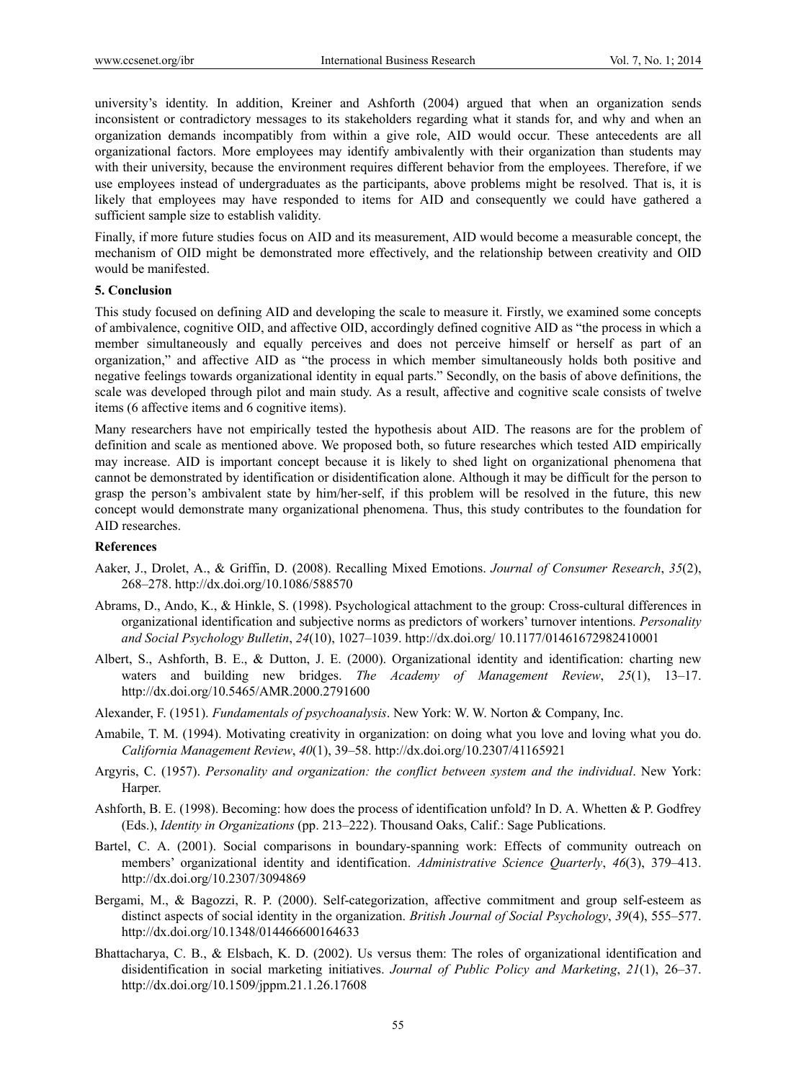university's identity. In addition, Kreiner and Ashforth (2004) argued that when an organization sends inconsistent or contradictory messages to its stakeholders regarding what it stands for, and why and when an organization demands incompatibly from within a give role, AID would occur. These antecedents are all organizational factors. More employees may identify ambivalently with their organization than students may with their university, because the environment requires different behavior from the employees. Therefore, if we use employees instead of undergraduates as the participants, above problems might be resolved. That is, it is likely that employees may have responded to items for AID and consequently we could have gathered a sufficient sample size to establish validity.

Finally, if more future studies focus on AID and its measurement, AID would become a measurable concept, the mechanism of OID might be demonstrated more effectively, and the relationship between creativity and OID would be manifested.

#### **5. Conclusion**

This study focused on defining AID and developing the scale to measure it. Firstly, we examined some concepts of ambivalence, cognitive OID, and affective OID, accordingly defined cognitive AID as "the process in which a member simultaneously and equally perceives and does not perceive himself or herself as part of an organization," and affective AID as "the process in which member simultaneously holds both positive and negative feelings towards organizational identity in equal parts." Secondly, on the basis of above definitions, the scale was developed through pilot and main study. As a result, affective and cognitive scale consists of twelve items (6 affective items and 6 cognitive items).

Many researchers have not empirically tested the hypothesis about AID. The reasons are for the problem of definition and scale as mentioned above. We proposed both, so future researches which tested AID empirically may increase. AID is important concept because it is likely to shed light on organizational phenomena that cannot be demonstrated by identification or disidentification alone. Although it may be difficult for the person to grasp the person's ambivalent state by him/her-self, if this problem will be resolved in the future, this new concept would demonstrate many organizational phenomena. Thus, this study contributes to the foundation for AID researches.

#### **References**

- Aaker, J., Drolet, A., & Griffin, D. (2008). Recalling Mixed Emotions. *Journal of Consumer Research*, *35*(2), 268–278. http://dx.doi.org/10.1086/588570
- Abrams, D., Ando, K., & Hinkle, S. (1998). Psychological attachment to the group: Cross-cultural differences in organizational identification and subjective norms as predictors of workers' turnover intentions. *Personality and Social Psychology Bulletin*, *24*(10), 1027–1039. http://dx.doi.org/ 10.1177/01461672982410001
- Albert, S., Ashforth, B. E., & Dutton, J. E. (2000). Organizational identity and identification: charting new waters and building new bridges. *The Academy of Management Review*, *25*(1), 13–17. http://dx.doi.org/10.5465/AMR.2000.2791600
- Alexander, F. (1951). *Fundamentals of psychoanalysis*. New York: W. W. Norton & Company, Inc.
- Amabile, T. M. (1994). Motivating creativity in organization: on doing what you love and loving what you do. *California Management Review*, *40*(1), 39–58. http://dx.doi.org/10.2307/41165921
- Argyris, C. (1957). *Personality and organization: the conflict between system and the individual*. New York: Harper.
- Ashforth, B. E. (1998). Becoming: how does the process of identification unfold? In D. A. Whetten & P. Godfrey (Eds.), *Identity in Organizations* (pp. 213–222). Thousand Oaks, Calif.: Sage Publications.
- Bartel, C. A. (2001). Social comparisons in boundary-spanning work: Effects of community outreach on members' organizational identity and identification. *Administrative Science Quarterly*, *46*(3), 379–413. http://dx.doi.org/10.2307/3094869
- Bergami, M., & Bagozzi, R. P. (2000). Self-categorization, affective commitment and group self-esteem as distinct aspects of social identity in the organization. *British Journal of Social Psychology*, *39*(4), 555–577. http://dx.doi.org/10.1348/014466600164633
- Bhattacharya, C. B., & Elsbach, K. D. (2002). Us versus them: The roles of organizational identification and disidentification in social marketing initiatives. *Journal of Public Policy and Marketing*, *21*(1), 26–37. http://dx.doi.org/10.1509/jppm.21.1.26.17608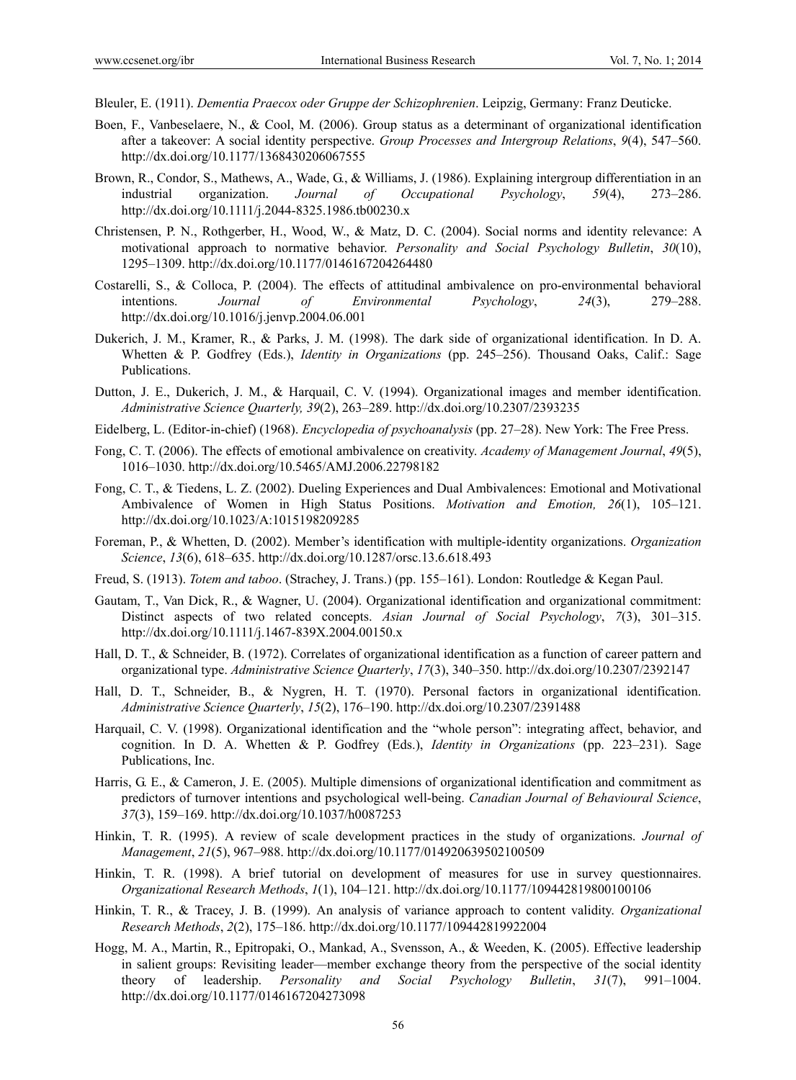- Bleuler, E. (1911). *Dementia Praecox oder Gruppe der Schizophrenien*. Leipzig, Germany: Franz Deuticke.
- Boen, F., Vanbeselaere, N., & Cool, M. (2006). Group status as a determinant of organizational identification after a takeover: A social identity perspective. *Group Processes and Intergroup Relations*, *9*(4), 547–560. http://dx.doi.org/10.1177/1368430206067555
- Brown, R., Condor, S., Mathews, A., Wade, G., & Williams, J. (1986). Explaining intergroup differentiation in an industrial organization. *Journal of Occupational Psychology*, *59*(4), 273–286. http://dx.doi.org/10.1111/j.2044-8325.1986.tb00230.x
- Christensen, P. N., Rothgerber, H., Wood, W., & Matz, D. C. (2004). Social norms and identity relevance: A motivational approach to normative behavior. *Personality and Social Psychology Bulletin*, *30*(10), 1295–1309. http://dx.doi.org/10.1177/0146167204264480
- Costarelli, S., & Colloca, P. (2004). The effects of attitudinal ambivalence on pro-environmental behavioral intentions. *Journal of Environmental Psychology*, *24*(3), 279–288. http://dx.doi.org/10.1016/j.jenvp.2004.06.001
- Dukerich, J. M., Kramer, R., & Parks, J. M. (1998). The dark side of organizational identification. In D. A. Whetten & P. Godfrey (Eds.), *Identity in Organizations* (pp. 245–256). Thousand Oaks, Calif.: Sage Publications.
- Dutton, J. E., Dukerich, J. M., & Harquail, C. V. (1994). Organizational images and member identification. *Administrative Science Quarterly, 39*(2), 263–289. http://dx.doi.org/10.2307/2393235
- Eidelberg, L. (Editor-in-chief) (1968). *Encyclopedia of psychoanalysis* (pp. 27–28). New York: The Free Press.
- Fong, C. T. (2006). The effects of emotional ambivalence on creativity. *Academy of Management Journal*, *49*(5), 1016–1030. http://dx.doi.org/10.5465/AMJ.2006.22798182
- Fong, C. T., & Tiedens, L. Z. (2002). Dueling Experiences and Dual Ambivalences: Emotional and Motivational Ambivalence of Women in High Status Positions. *Motivation and Emotion, 26*(1), 105–121. http://dx.doi.org/10.1023/A:1015198209285
- Foreman, P., & Whetten, D. (2002). Member's identification with multiple-identity organizations. *Organization Science*, *13*(6), 618–635. http://dx.doi.org/10.1287/orsc.13.6.618.493
- Freud, S. (1913). *Totem and taboo*. (Strachey, J. Trans.) (pp. 155–161). London: Routledge & Kegan Paul.
- Gautam, T., Van Dick, R., & Wagner, U. (2004). Organizational identification and organizational commitment: Distinct aspects of two related concepts. *Asian Journal of Social Psychology*, *7*(3), 301–315. http://dx.doi.org/10.1111/j.1467-839X.2004.00150.x
- Hall, D. T., & Schneider, B. (1972). Correlates of organizational identification as a function of career pattern and organizational type. *Administrative Science Quarterly*, *17*(3), 340–350. http://dx.doi.org/10.2307/2392147
- Hall, D. T., Schneider, B., & Nygren, H. T. (1970). Personal factors in organizational identification. *Administrative Science Quarterly*, *15*(2), 176–190. http://dx.doi.org/10.2307/2391488
- Harquail, C. V. (1998). Organizational identification and the "whole person": integrating affect, behavior, and cognition. In D. A. Whetten & P. Godfrey (Eds.), *Identity in Organizations* (pp. 223–231). Sage Publications, Inc.
- Harris, G. E., & Cameron, J. E. (2005). Multiple dimensions of organizational identification and commitment as predictors of turnover intentions and psychological well-being. *Canadian Journal of Behavioural Science*, *37*(3), 159–169. http://dx.doi.org/10.1037/h0087253
- Hinkin, T. R. (1995). A review of scale development practices in the study of organizations. *Journal of Management*, *21*(5), 967–988. http://dx.doi.org/10.1177/014920639502100509
- Hinkin, T. R. (1998). A brief tutorial on development of measures for use in survey questionnaires. *Organizational Research Methods*, *1*(1), 104–121. http://dx.doi.org/10.1177/109442819800100106
- Hinkin, T. R., & Tracey, J. B. (1999). An analysis of variance approach to content validity. *Organizational Research Methods*, *2*(2), 175–186. http://dx.doi.org/10.1177/109442819922004
- Hogg, M. A., Martin, R., Epitropaki, O., Mankad, A., Svensson, A., & Weeden, K. (2005). Effective leadership in salient groups: Revisiting leader—member exchange theory from the perspective of the social identity theory of leadership. *Personality and Social Psychology Bulletin*, *31*(7), 991–1004. http://dx.doi.org/10.1177/0146167204273098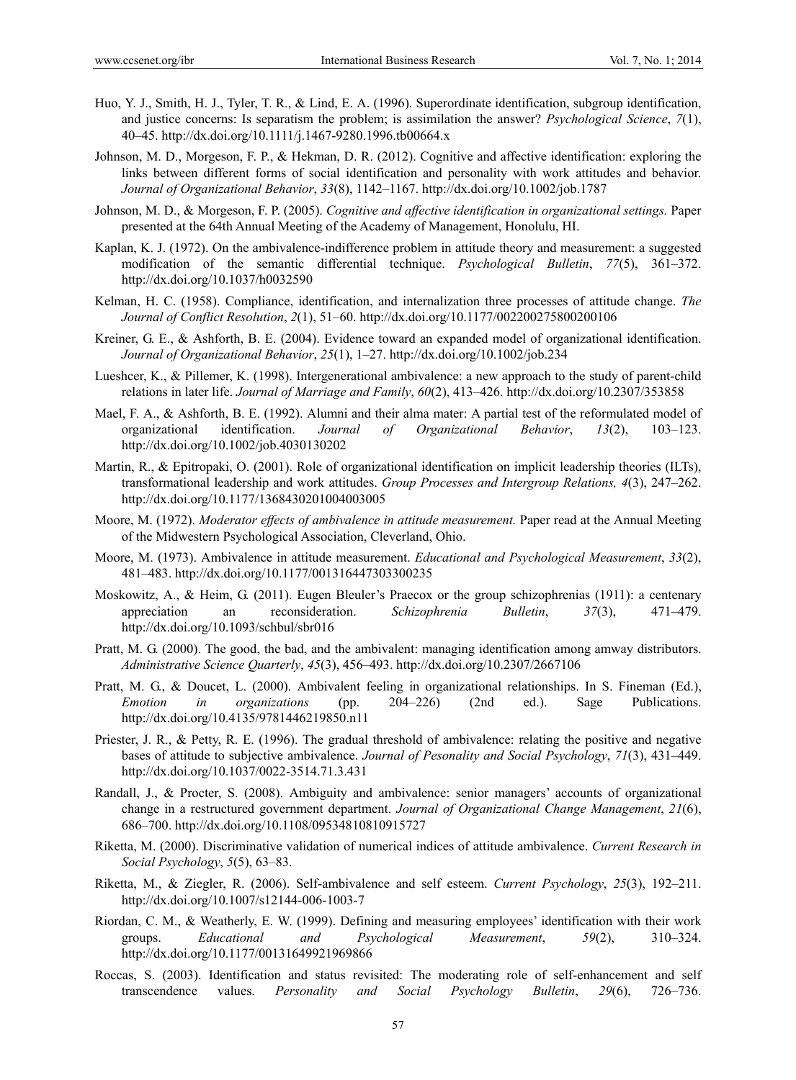- Huo, Y. J., Smith, H. J., Tyler, T. R., & Lind, E. A. (1996). Superordinate identification, subgroup identification, and justice concerns: Is separatism the problem; is assimilation the answer? *Psychological Science*, *7*(1), 40–45. http://dx.doi.org/10.1111/j.1467-9280.1996.tb00664.x
- Johnson, M. D., Morgeson, F. P., & Hekman, D. R. (2012). Cognitive and affective identification: exploring the links between different forms of social identification and personality with work attitudes and behavior. *Journal of Organizational Behavior*, *33*(8), 1142–1167. http://dx.doi.org/10.1002/job.1787
- Johnson, M. D., & Morgeson, F. P. (2005). *Cognitive and affective identification in organizational settings.* Paper presented at the 64th Annual Meeting of the Academy of Management, Honolulu, HI.
- Kaplan, K. J. (1972). On the ambivalence-indifference problem in attitude theory and measurement: a suggested modification of the semantic differential technique. *Psychological Bulletin*, *77*(5), 361–372. http://dx.doi.org/10.1037/h0032590
- Kelman, H. C. (1958). Compliance, identification, and internalization three processes of attitude change. *The Journal of Conflict Resolution*, *2*(1), 51–60. http://dx.doi.org/10.1177/002200275800200106
- Kreiner, G. E., & Ashforth, B. E. (2004). Evidence toward an expanded model of organizational identification. *Journal of Organizational Behavior*, *25*(1), 1–27. http://dx.doi.org/10.1002/job.234
- Lueshcer, K., & Pillemer, K. (1998). Intergenerational ambivalence: a new approach to the study of parent-child relations in later life. *Journal of Marriage and Family*, *60*(2), 413–426. http://dx.doi.org/10.2307/353858
- Mael, F. A., & Ashforth, B. E. (1992). Alumni and their alma mater: A partial test of the reformulated model of organizational identification. *Journal of Organizational Behavior*, *13*(2), 103–123. http://dx.doi.org/10.1002/job.4030130202
- Martin, R., & Epitropaki, O. (2001). Role of organizational identification on implicit leadership theories (ILTs), transformational leadership and work attitudes. *Group Processes and Intergroup Relations, 4*(3), 247–262. http://dx.doi.org/10.1177/1368430201004003005
- Moore, M. (1972). *Moderator effects of ambivalence in attitude measurement.* Paper read at the Annual Meeting of the Midwestern Psychological Association, Cleverland, Ohio.
- Moore, M. (1973). Ambivalence in attitude measurement. *Educational and Psychological Measurement*, *33*(2), 481–483. http://dx.doi.org/10.1177/001316447303300235
- Moskowitz, A., & Heim, G. (2011). Eugen Bleuler's Praecox or the group schizophrenias (1911): a centenary appreciation an reconsideration. *Schizophrenia Bulletin*, *37*(3), 471–479. http://dx.doi.org/10.1093/schbul/sbr016
- Pratt, M. G. (2000). The good, the bad, and the ambivalent: managing identification among amway distributors. *Administrative Science Quarterly*, *45*(3), 456–493. http://dx.doi.org/10.2307/2667106
- Pratt, M. G., & Doucet, L. (2000). Ambivalent feeling in organizational relationships. In S. Fineman (Ed.), *Emotion in organizations* (pp. 204–226) (2nd ed.). Sage Publications. http://dx.doi.org/10.4135/9781446219850.n11
- Priester, J. R., & Petty, R. E. (1996). The gradual threshold of ambivalence: relating the positive and negative bases of attitude to subjective ambivalence. *Journal of Pesonality and Social Psychology*, *71*(3), 431–449. http://dx.doi.org/10.1037/0022-3514.71.3.431
- Randall, J., & Procter, S. (2008). Ambiguity and ambivalence: senior managers' accounts of organizational change in a restructured government department. *Journal of Organizational Change Management*, *21*(6), 686–700. http://dx.doi.org/10.1108/09534810810915727
- Riketta, M. (2000). Discriminative validation of numerical indices of attitude ambivalence. *Current Research in Social Psychology*, *5*(5), 63–83.
- Riketta, M., & Ziegler, R. (2006). Self-ambivalence and self esteem. *Current Psychology*, *25*(3), 192–211. http://dx.doi.org/10.1007/s12144-006-1003-7
- Riordan, C. M., & Weatherly, E. W. (1999). Defining and measuring employees' identification with their work groups. *Educational and Psychological Measurement*, *59*(2), 310–324. http://dx.doi.org/10.1177/00131649921969866
- Roccas, S. (2003). Identification and status revisited: The moderating role of self-enhancement and self transcendence values. *Personality and Social Psychology Bulletin*, *29*(6), 726–736.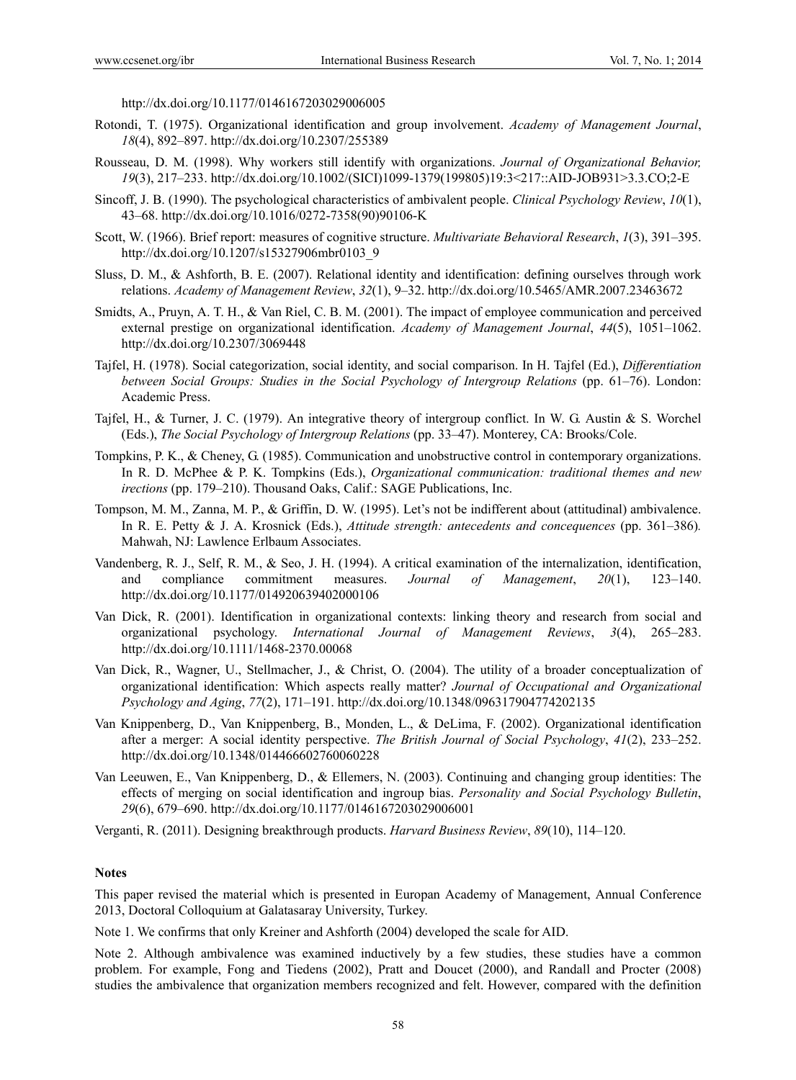http://dx.doi.org/10.1177/0146167203029006005

- Rotondi, T. (1975). Organizational identification and group involvement. *Academy of Management Journal*, *18*(4), 892–897. http://dx.doi.org/10.2307/255389
- Rousseau, D. M. (1998). Why workers still identify with organizations. *Journal of Organizational Behavior, 19*(3), 217–233. http://dx.doi.org/10.1002/(SICI)1099-1379(199805)19:3<217::AID-JOB931>3.3.CO;2-E
- Sincoff, J. B. (1990). The psychological characteristics of ambivalent people. *Clinical Psychology Review*, *10*(1), 43–68. http://dx.doi.org/10.1016/0272-7358(90)90106-K
- Scott, W. (1966). Brief report: measures of cognitive structure. *Multivariate Behavioral Research*, *1*(3), 391–395. http://dx.doi.org/10.1207/s15327906mbr0103\_9
- Sluss, D. M., & Ashforth, B. E. (2007). Relational identity and identification: defining ourselves through work relations. *Academy of Management Review*, *32*(1), 9–32. http://dx.doi.org/10.5465/AMR.2007.23463672
- Smidts, A., Pruyn, A. T. H., & Van Riel, C. B. M. (2001). The impact of employee communication and perceived external prestige on organizational identification. *Academy of Management Journal*, *44*(5), 1051–1062. http://dx.doi.org/10.2307/3069448
- Tajfel, H. (1978). Social categorization, social identity, and social comparison. In H. Tajfel (Ed.), *Differentiation between Social Groups: Studies in the Social Psychology of Intergroup Relations (pp. 61–76). London:* Academic Press.
- Tajfel, H., & Turner, J. C. (1979). An integrative theory of intergroup conflict. In W. G. Austin & S. Worchel (Eds.), *The Social Psychology of Intergroup Relations* (pp. 33–47). Monterey, CA: Brooks/Cole.
- Tompkins, P. K., & Cheney, G. (1985). Communication and unobstructive control in contemporary organizations. In R. D. McPhee & P. K. Tompkins (Eds.), *Organizational communication: traditional themes and new irections* (pp. 179–210). Thousand Oaks, Calif.: SAGE Publications, Inc.
- Tompson, M. M., Zanna, M. P., & Griffin, D. W. (1995). Let's not be indifferent about (attitudinal) ambivalence. In R. E. Petty & J. A. Krosnick (Eds.), *Attitude strength: antecedents and concequences* (pp. 361–386)*.* Mahwah, NJ: Lawlence Erlbaum Associates.
- Vandenberg, R. J., Self, R. M., & Seo, J. H. (1994). A critical examination of the internalization, identification, and compliance commitment measures. *Journal of Management*, *20*(1), 123–140. http://dx.doi.org/10.1177/014920639402000106
- Van Dick, R. (2001). Identification in organizational contexts: linking theory and research from social and organizational psychology. *International Journal of Management Reviews*, *3*(4), 265–283. http://dx.doi.org/10.1111/1468-2370.00068
- Van Dick, R., Wagner, U., Stellmacher, J., & Christ, O. (2004). The utility of a broader conceptualization of organizational identification: Which aspects really matter? *Journal of Occupational and Organizational Psychology and Aging*, *77*(2), 171–191. http://dx.doi.org/10.1348/096317904774202135
- Van Knippenberg, D., Van Knippenberg, B., Monden, L., & DeLima, F. (2002). Organizational identification after a merger: A social identity perspective. *The British Journal of Social Psychology*, *41*(2), 233–252. http://dx.doi.org/10.1348/014466602760060228
- Van Leeuwen, E., Van Knippenberg, D., & Ellemers, N. (2003). Continuing and changing group identities: The effects of merging on social identification and ingroup bias. *Personality and Social Psychology Bulletin*, *29*(6), 679–690. http://dx.doi.org/10.1177/0146167203029006001

Verganti, R. (2011). Designing breakthrough products. *Harvard Business Review*, *89*(10), 114–120.

#### **Notes**

This paper revised the material which is presented in Europan Academy of Management, Annual Conference 2013, Doctoral Colloquium at Galatasaray University, Turkey.

Note 1. We confirms that only Kreiner and Ashforth (2004) developed the scale for AID.

Note 2. Although ambivalence was examined inductively by a few studies, these studies have a common problem. For example, Fong and Tiedens (2002), Pratt and Doucet (2000), and Randall and Procter (2008) studies the ambivalence that organization members recognized and felt. However, compared with the definition